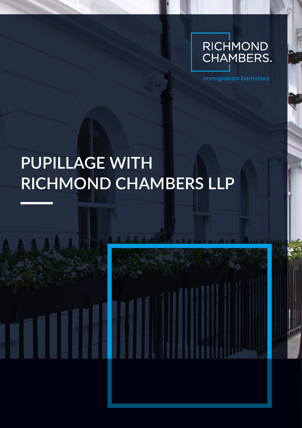

immigration barristers

## **PUPILLAGE WITH RICHMOND CHAMBERS LLP**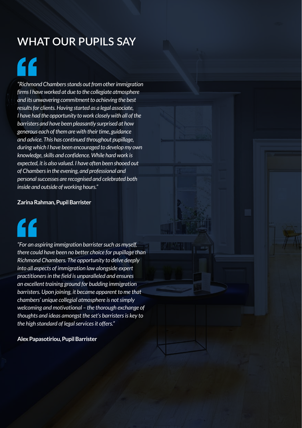### **WHAT OUR PUPILS SAY**

# $\mathcal{L}_{\mathcal{C}}$

*"Richmond Chambers stands out from other immigration firms I have worked at due to the collegiate atmosphere and its unwavering commitment to achieving the best results for clients. Having started as a legal associate, I have had the opportunity to work closely with all of the barristers and have been pleasantly surprised at how generous each of them are with their time, guidance and advice. This has continued throughout pupillage, during which I have been encouraged to develop my own knowledge, skills and confidence. While hard work is expected, it is also valued. I have often been shooed out of Chambers in the evening, and professional and personal successes are recognised and celebrated both inside and outside of working hours."*

#### **Zarina Rahman, Pupil Barrister**



*"For an aspiring immigration barrister such as myself, there could have been no better choice for pupillage than Richmond Chambers. The opportunity to delve deeply into all aspects of immigration law alongside expert practitioners in the field is unparalleled and ensures an excellent training ground for budding immigration barristers. Upon joining, it became apparent to me that chambers' unique collegial atmosphere is not simply welcoming and motivational – the thorough exchange of thoughts and ideas amongst the set's barristers is key to the high standard of legal services it offers."* 

**Alex Papasotiriou, Pupil Barrister**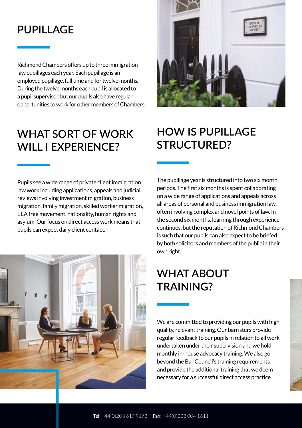#### **PUPILLAGE**

Richmond Chambers offers up to three immigration law pupillages each year. Each pupillage is an employed pupillage, full time and for twelve months. During the twelve months each pupil is allocated to a pupil supervisor, but our pupils also have regular opportunities to work for other members of Chambers.

## **WHAT SORT OF WORK WILL I EXPERIENCE?**

## **HOW IS PUPILLAGE STRUCTURED?**

Pupils see a wide range of private client immigration law work including applications, appeals and judicial reviews involving investment migration, business migration, family migration, skilled worker migration, EEA free movement, nationality, human rights and asylum. Our focus on direct access work means that pupils can expect daily client contact.

The pupillage year is structured into two six month periods. The first six months is spent collaborating on a wide range of applications and appeals across all areas of personal and business immigration law, often involving complex and novel points of law. In the second six months, learning through experience continues, but the reputation of Richmond Chambers is such that our pupils can also expect to be briefed by both solicitors and members of the public in their own right.

## **WHAT ABOUT TRAINING?**

We are committed to providing our pupils with high quality, relevant training. Our barristers provide regular feedback to our pupils in relation to all work undertaken under their supervision and we hold monthly in-house advocacy training. We also go beyond the Bar Council's training requirements and provide the additional training that we deem necessary for a successful direct access practice.

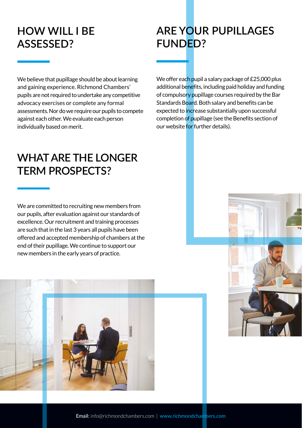## **HOW WILL I BE ASSESSED?**

### **ARE YOUR PUPILLAGES FUNDED?**

We believe that pupillage should be about learning and gaining experience. Richmond Chambers' pupils are not required to undertake any competitive advocacy exercises or complete any formal assessments. Nor do we require our pupils to compete against each other. We evaluate each person individually based on merit.

We offer each pupil a salary package of £25,000 plus additional benefits, including paid holiday and funding of compulsory pupillage courses required by the Bar Standards Board. Both salary and benefits can be expected to increase substantially upon successful completion of pupillage (see the Benefits section of our website for further details).

#### **WHAT ARE THE LONGER TERM PROSPECTS?**

We are committed to recruiting new members from our pupils, after evaluation against our standards of excellence. Our recruitment and training processes are such that in the last 3 years all pupils have been offered and accepted membership of chambers at the end of their pupillage. We continue to support our new members in the early years of practice.



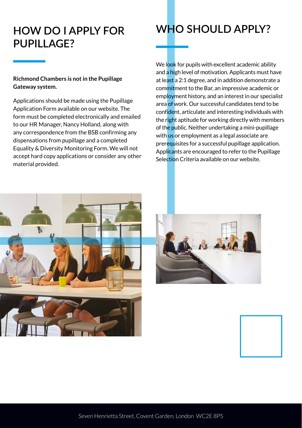#### **HOW DO I APPLY FOR PUPILLAGE?**

#### **Richmond Chambers is not in the Pupillage Gateway system.**

Applications should be made using the Pupillage Application Form available on our website. The form must be completed electronically and emailed to our HR Manager, Nancy Holland, along with any correspondence from the BSB confirming any dispensations from pupillage and a completed Equality & Diversity Monitoring Form. We will not accept hard copy applications or consider any other material provided.



We look for pupils with excellent academic ability and a high level of motivation. Applicants must have at least a 2:1 degree, and in addition demonstrate a commitment to the Bar, an impressive academic or employment history, and an interest in our specialist area of work. Our successful candidates tend to be confident, articulate and interesting individuals with the right aptitude for working directly with members of the public. Neither undertaking a mini-pupillage with us or employment as a legal associate are prerequisites for a successful pupillage application. Applicants are encouraged to refer to the Pupillage Selection Criteria available on our website.